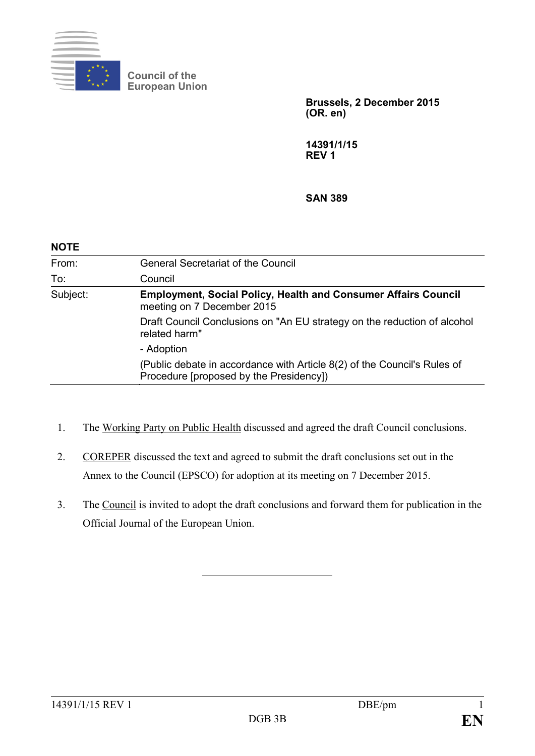

**Council of the European Union**

> **Brussels, 2 December 2015 (OR. en)**

**14391/1/15 REV 1**

**SAN 389**

| <b>NOTE</b> |                                                                                                                     |
|-------------|---------------------------------------------------------------------------------------------------------------------|
| From:       | <b>General Secretariat of the Council</b>                                                                           |
| To:         | Council                                                                                                             |
| Subject:    | <b>Employment, Social Policy, Health and Consumer Affairs Council</b><br>meeting on 7 December 2015                 |
|             | Draft Council Conclusions on "An EU strategy on the reduction of alcohol<br>related harm"                           |
|             | - Adoption                                                                                                          |
|             | (Public debate in accordance with Article 8(2) of the Council's Rules of<br>Procedure [proposed by the Presidency]) |

- 1. The Working Party on Public Health discussed and agreed the draft Council conclusions.
- 2. COREPER discussed the text and agreed to submit the draft conclusions set out in the Annex to the Council (EPSCO) for adoption at its meeting on 7 December 2015.
- 3. The Council is invited to adopt the draft conclusions and forward them for publication in the Official Journal of the European Union.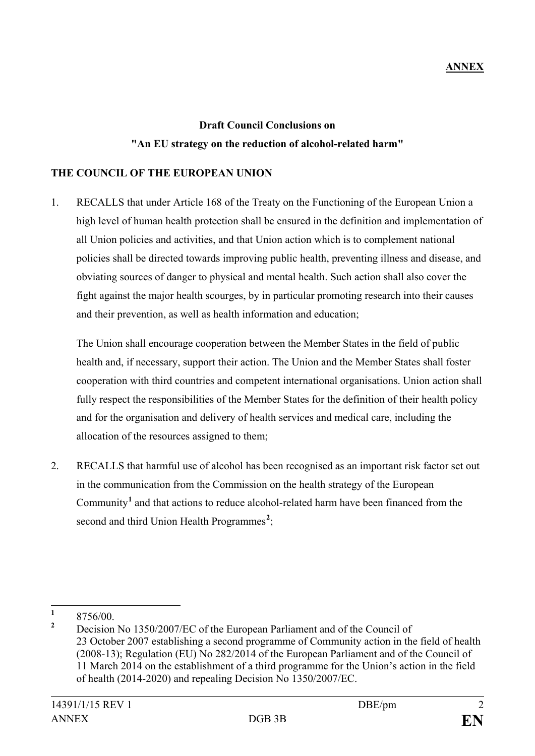# **Draft Council Conclusions on "An EU strategy on the reduction of alcohol-related harm"**

#### **THE COUNCIL OF THE EUROPEAN UNION**

1. RECALLS that under Article 168 of the Treaty on the Functioning of the European Union a high level of human health protection shall be ensured in the definition and implementation of all Union policies and activities, and that Union action which is to complement national policies shall be directed towards improving public health, preventing illness and disease, and obviating sources of danger to physical and mental health. Such action shall also cover the fight against the major health scourges, by in particular promoting research into their causes and their prevention, as well as health information and education;

The Union shall encourage cooperation between the Member States in the field of public health and, if necessary, support their action. The Union and the Member States shall foster cooperation with third countries and competent international organisations. Union action shall fully respect the responsibilities of the Member States for the definition of their health policy and for the organisation and delivery of health services and medical care, including the allocation of the resources assigned to them;

2. RECALLS that harmful use of alcohol has been recognised as an important risk factor set out in the communication from the Commission on the health strategy of the European Community**[1](#page-1-0)** and that actions to reduce alcohol-related harm have been financed from the second and third Union Health Programmes<sup>[2](#page-1-1)</sup>;

<span id="page-1-1"></span><span id="page-1-0"></span> $\frac{1}{2}$  8756/00.

**<sup>2</sup>** Decision No 1350/2007/EC of the European Parliament and of the Council of 23 October 2007 establishing a second programme of Community action in the field of health (2008-13); Regulation (EU) No 282/2014 of the European Parliament and of the Council of 11 March 2014 on the establishment of a third programme for the Union's action in the field of health (2014-2020) and repealing Decision No 1350/2007/EC.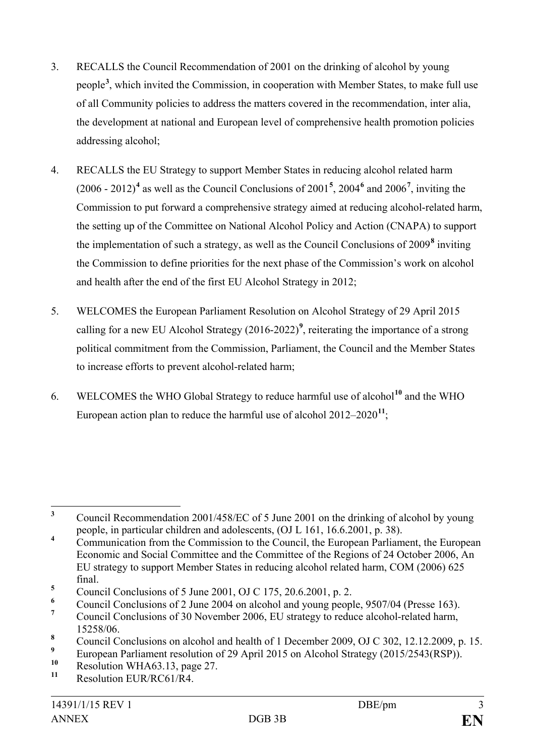- 3. RECALLS the Council Recommendation of 2001 on the drinking of alcohol by young people**[3](#page-2-0)** , which invited the Commission, in cooperation with Member States, to make full use of all Community policies to address the matters covered in the recommendation, inter alia, the development at national and European level of comprehensive health promotion policies addressing alcohol;
- 4. RECALLS the EU Strategy to support Member States in reducing alcohol related harm  $(2006 - 2012)^4$  $(2006 - 2012)^4$  as well as the Council Conclusions of  $2001^5$  $2001^5$ ,  $2004^6$  $2004^6$  and  $2006^7$  $2006^7$ , inviting the Commission to put forward a comprehensive strategy aimed at reducing alcohol-related harm, the setting up of the Committee on National Alcohol Policy and Action (CNAPA) to support the implementation of such a strategy, as well as the Council Conclusions of 2009**[8](#page-2-5)** inviting the Commission to define priorities for the next phase of the Commission's work on alcohol and health after the end of the first EU Alcohol Strategy in 2012;
- 5. WELCOMES the European Parliament Resolution on Alcohol Strategy of 29 April 2015 calling for a new EU Alcohol Strategy  $(2016-2022)^9$  $(2016-2022)^9$ , reiterating the importance of a strong political commitment from the Commission, Parliament, the Council and the Member States to increase efforts to prevent alcohol-related harm;
- 6. WELCOMES the WHO Global Strategy to reduce harmful use of alcohol**[10](#page-2-7)** and the WHO European action plan to reduce the harmful use of alcohol 2012–2020**[11](#page-2-8)**;

<span id="page-2-3"></span><sup>6</sup> Council Conclusions of 2 June 2004 on alcohol and young people, 9507/04 (Presse 163).

<span id="page-2-0"></span>**<sup>3</sup>** Council Recommendation 2001/458/EC of 5 June 2001 on the drinking of alcohol by young people, in particular children and adolescents, (OJ L 161, 16.6.2001, p. 38).

<span id="page-2-1"></span><sup>&</sup>lt;sup>4</sup> Communication from the Commission to the Council, the European Parliament, the European Economic and Social Committee and the Committee of the Regions of 24 October 2006, An EU strategy to support Member States in reducing alcohol related harm, COM (2006) 625 final.

<span id="page-2-2"></span> $\frac{5}{6}$  Council Conclusions of 5 June 2001, OJ C 175, 20.6.2001, p. 2.

<span id="page-2-4"></span>**<sup>7</sup>** Council Conclusions of 30 November 2006, EU strategy to reduce alcohol-related harm, 15258/06.

<span id="page-2-5"></span><sup>&</sup>lt;sup>8</sup> Council Conclusions on alcohol and health of 1 December 2009, OJ C 302, 12.12.2009, p. 15.

<span id="page-2-6"></span><sup>&</sup>lt;sup>9</sup> European Parliament resolution of 29 April 2015 on Alcohol Strategy (2015/2543(RSP)).

<span id="page-2-7"></span><sup>&</sup>lt;sup>10</sup> Resolution WHA63.13, page 27.

<span id="page-2-8"></span>**<sup>11</sup>** Resolution EUR/RC61/R4.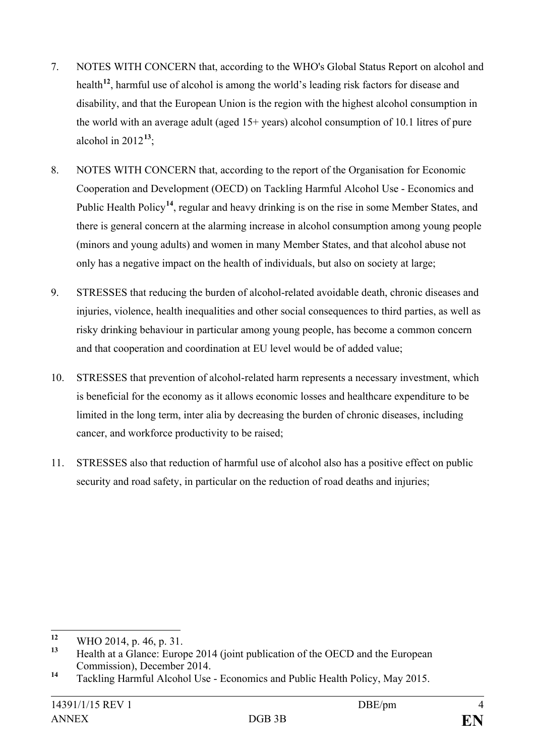- 7. NOTES WITH CONCERN that, according to the WHO's Global Status Report on alcohol and health**[12](#page-3-0)**, harmful use of alcohol is among the world's leading risk factors for disease and disability, and that the European Union is the region with the highest alcohol consumption in the world with an average adult (aged 15+ years) alcohol consumption of 10.1 litres of pure alcohol in  $2012^{13}$  $2012^{13}$  $2012^{13}$ ;
- 8. NOTES WITH CONCERN that, according to the report of the Organisation for Economic Cooperation and Development (OECD) on Tackling Harmful Alcohol Use - Economics and Public Health Policy**[14](#page-3-2)**, regular and heavy drinking is on the rise in some Member States, and there is general concern at the alarming increase in alcohol consumption among young people (minors and young adults) and women in many Member States, and that alcohol abuse not only has a negative impact on the health of individuals, but also on society at large;
- 9. STRESSES that reducing the burden of alcohol-related avoidable death, chronic diseases and injuries, violence, health inequalities and other social consequences to third parties, as well as risky drinking behaviour in particular among young people, has become a common concern and that cooperation and coordination at EU level would be of added value;
- 10. STRESSES that prevention of alcohol-related harm represents a necessary investment, which is beneficial for the economy as it allows economic losses and healthcare expenditure to be limited in the long term, inter alia by decreasing the burden of chronic diseases, including cancer, and workforce productivity to be raised;
- 11. STRESSES also that reduction of harmful use of alcohol also has a positive effect on public security and road safety, in particular on the reduction of road deaths and injuries;

<span id="page-3-0"></span>**<sup>12</sup>** WHO 2014, p. 46, p. 31.

<span id="page-3-1"></span>**<sup>13</sup>** Health at a Glance: Europe 2014 (joint publication of the OECD and the European Commission), December 2014.

<span id="page-3-2"></span>**<sup>14</sup>** Tackling Harmful Alcohol Use - Economics and Public Health Policy, May 2015.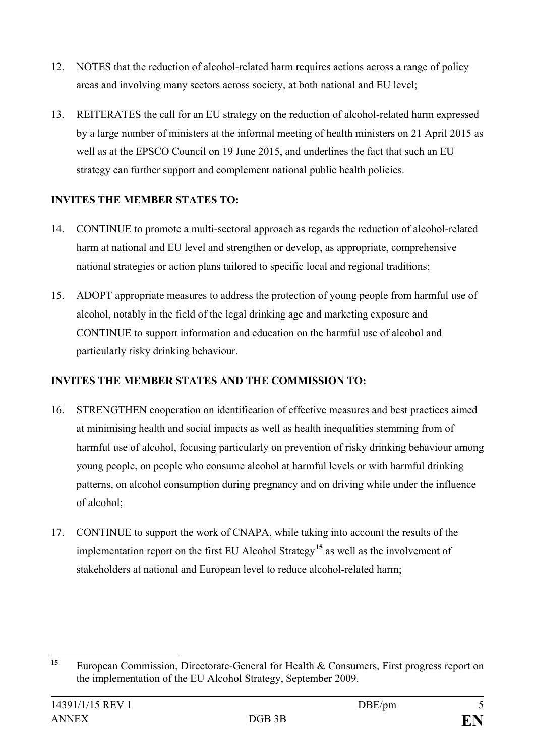- 12. NOTES that the reduction of alcohol-related harm requires actions across a range of policy areas and involving many sectors across society, at both national and EU level;
- 13. REITERATES the call for an EU strategy on the reduction of alcohol-related harm expressed by a large number of ministers at the informal meeting of health ministers on 21 April 2015 as well as at the EPSCO Council on 19 June 2015, and underlines the fact that such an EU strategy can further support and complement national public health policies.

## **INVITES THE MEMBER STATES TO:**

- 14. CONTINUE to promote a multi-sectoral approach as regards the reduction of alcohol-related harm at national and EU level and strengthen or develop, as appropriate, comprehensive national strategies or action plans tailored to specific local and regional traditions;
- 15. ADOPT appropriate measures to address the protection of young people from harmful use of alcohol, notably in the field of the legal drinking age and marketing exposure and CONTINUE to support information and education on the harmful use of alcohol and particularly risky drinking behaviour.

## **INVITES THE MEMBER STATES AND THE COMMISSION TO:**

- 16. STRENGTHEN cooperation on identification of effective measures and best practices aimed at minimising health and social impacts as well as health inequalities stemming from of harmful use of alcohol, focusing particularly on prevention of risky drinking behaviour among young people, on people who consume alcohol at harmful levels or with harmful drinking patterns, on alcohol consumption during pregnancy and on driving while under the influence of alcohol;
- 17. CONTINUE to support the work of CNAPA, while taking into account the results of the implementation report on the first EU Alcohol Strategy**[15](#page-4-0)** as well as the involvement of stakeholders at national and European level to reduce alcohol-related harm;

<span id="page-4-0"></span>**<sup>15</sup>** European Commission, Directorate-General for Health & Consumers, First progress report on the implementation of the EU Alcohol Strategy, September 2009.